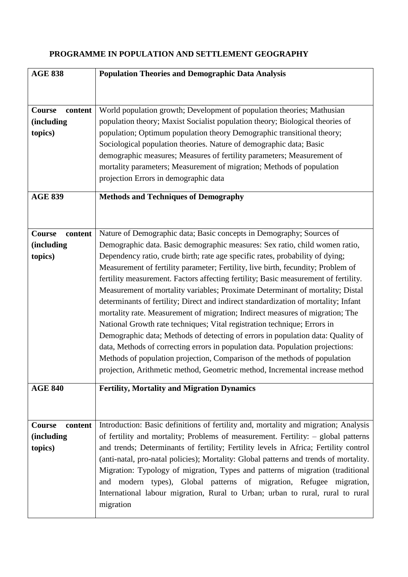## **PROGRAMME IN POPULATION AND SETTLEMENT GEOGRAPHY**

| <b>AGE 838</b>     | <b>Population Theories and Demographic Data Analysis</b>                              |
|--------------------|---------------------------------------------------------------------------------------|
|                    |                                                                                       |
|                    |                                                                                       |
| Course<br>content  | World population growth; Development of population theories; Mathusian                |
| <i>(including)</i> | population theory; Maxist Socialist population theory; Biological theories of         |
| topics)            | population; Optimum population theory Demographic transitional theory;                |
|                    | Sociological population theories. Nature of demographic data; Basic                   |
|                    |                                                                                       |
|                    | demographic measures; Measures of fertility parameters; Measurement of                |
|                    | mortality parameters; Measurement of migration; Methods of population                 |
|                    | projection Errors in demographic data                                                 |
| <b>AGE 839</b>     | <b>Methods and Techniques of Demography</b>                                           |
|                    |                                                                                       |
|                    |                                                                                       |
|                    |                                                                                       |
| Course<br>content  | Nature of Demographic data; Basic concepts in Demography; Sources of                  |
| <i>(including)</i> | Demographic data. Basic demographic measures: Sex ratio, child women ratio,           |
| topics)            | Dependency ratio, crude birth; rate age specific rates, probability of dying;         |
|                    | Measurement of fertility parameter; Fertility, live birth, fecundity; Problem of      |
|                    | fertility measurement. Factors affecting fertility; Basic measurement of fertility.   |
|                    | Measurement of mortality variables; Proximate Determinant of mortality; Distal        |
|                    | determinants of fertility; Direct and indirect standardization of mortality; Infant   |
|                    | mortality rate. Measurement of migration; Indirect measures of migration; The         |
|                    | National Growth rate techniques; Vital registration technique; Errors in              |
|                    | Demographic data; Methods of detecting of errors in population data: Quality of       |
|                    | data, Methods of correcting errors in population data. Population projections:        |
|                    | Methods of population projection, Comparison of the methods of population             |
|                    | projection, Arithmetic method, Geometric method, Incremental increase method          |
|                    |                                                                                       |
| <b>AGE 840</b>     | <b>Fertility, Mortality and Migration Dynamics</b>                                    |
|                    |                                                                                       |
|                    |                                                                                       |
| Course<br>content  | Introduction: Basic definitions of fertility and, mortality and migration; Analysis   |
| <i>(including)</i> | of fertility and mortality; Problems of measurement. Fertility: - global patterns     |
| topics)            | and trends; Determinants of fertility; Fertility levels in Africa; Fertility control  |
|                    | (anti-natal, pro-natal policies); Mortality: Global patterns and trends of mortality. |
|                    |                                                                                       |
|                    | Migration: Typology of migration, Types and patterns of migration (traditional        |
|                    | and modern types), Global patterns of migration, Refugee migration,                   |
|                    | International labour migration, Rural to Urban; urban to rural, rural to rural        |
|                    | migration                                                                             |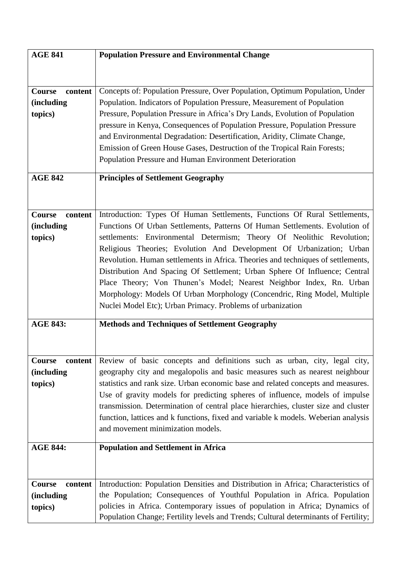| <b>AGE 841</b>           | <b>Population Pressure and Environmental Change</b>                                 |
|--------------------------|-------------------------------------------------------------------------------------|
|                          |                                                                                     |
|                          |                                                                                     |
| <b>Course</b><br>content | Concepts of: Population Pressure, Over Population, Optimum Population, Under        |
| <i>(including)</i>       | Population. Indicators of Population Pressure, Measurement of Population            |
| topics)                  | Pressure, Population Pressure in Africa's Dry Lands, Evolution of Population        |
|                          | pressure in Kenya, Consequences of Population Pressure, Population Pressure         |
|                          | and Environmental Degradation: Desertification, Aridity, Climate Change,            |
|                          | Emission of Green House Gases, Destruction of the Tropical Rain Forests;            |
|                          | Population Pressure and Human Environment Deterioration                             |
| <b>AGE 842</b>           | <b>Principles of Settlement Geography</b>                                           |
|                          |                                                                                     |
|                          |                                                                                     |
| <b>Course</b><br>content | Introduction: Types Of Human Settlements, Functions Of Rural Settlements,           |
| <i>(including</i>        | Functions Of Urban Settlements, Patterns Of Human Settlements. Evolution of         |
| topics)                  | settlements: Environmental Determism; Theory Of Neolithic Revolution;               |
|                          | Religious Theories; Evolution And Development Of Urbanization; Urban                |
|                          | Revolution. Human settlements in Africa. Theories and techniques of settlements,    |
|                          | Distribution And Spacing Of Settlement; Urban Sphere Of Influence; Central          |
|                          | Place Theory; Von Thunen's Model; Nearest Neighbor Index, Rn. Urban                 |
|                          | Morphology: Models Of Urban Morphology (Concendric, Ring Model, Multiple            |
|                          | Nuclei Model Etc); Urban Primacy. Problems of urbanization                          |
|                          |                                                                                     |
| <b>AGE 843:</b>          | <b>Methods and Techniques of Settlement Geography</b>                               |
|                          |                                                                                     |
|                          |                                                                                     |
| Course<br>content        | Review of basic concepts and definitions such as urban, city, legal city,           |
| <i>(including)</i>       | geography city and megalopolis and basic measures such as nearest neighbour         |
| topics)                  | statistics and rank size. Urban economic base and related concepts and measures.    |
|                          | Use of gravity models for predicting spheres of influence, models of impulse        |
|                          | transmission. Determination of central place hierarchies, cluster size and cluster  |
|                          | function, lattices and k functions, fixed and variable k models. Weberian analysis  |
|                          | and movement minimization models.                                                   |
| <b>AGE 844:</b>          | <b>Population and Settlement in Africa</b>                                          |
|                          |                                                                                     |
|                          |                                                                                     |
| Course<br>content        | Introduction: Population Densities and Distribution in Africa; Characteristics of   |
| <i>(including)</i>       | the Population; Consequences of Youthful Population in Africa. Population           |
| topics)                  | policies in Africa. Contemporary issues of population in Africa; Dynamics of        |
|                          | Population Change; Fertility levels and Trends; Cultural determinants of Fertility; |